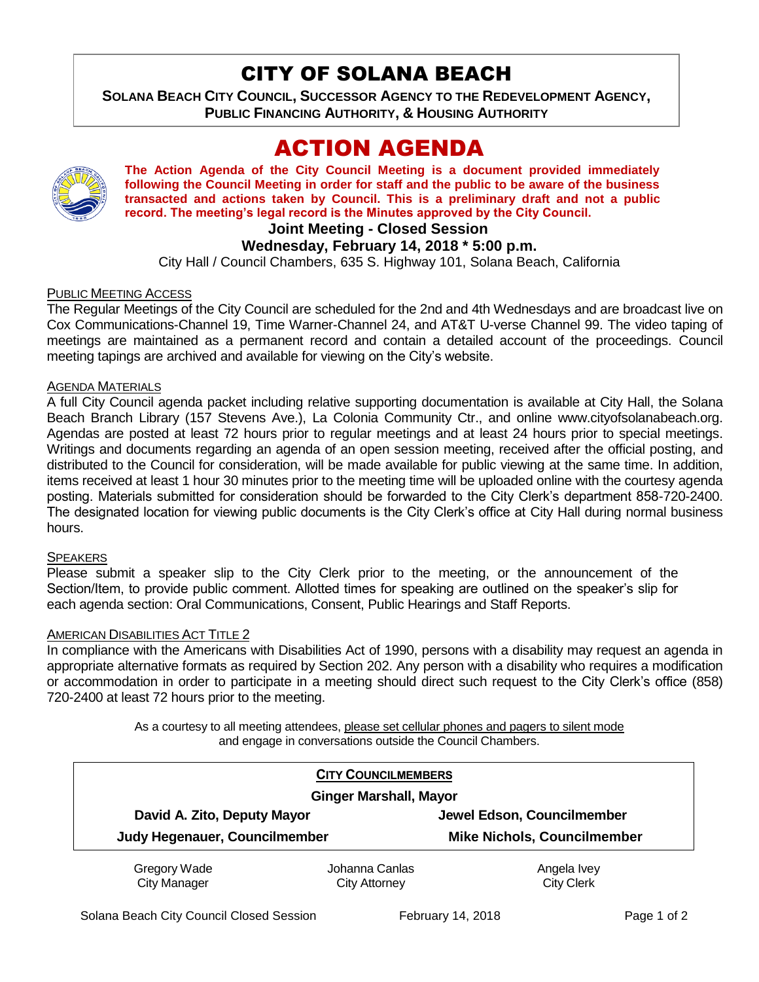# CITY OF SOLANA BEACH

**SOLANA BEACH CITY COUNCIL, SUCCESSOR AGENCY TO THE REDEVELOPMENT AGENCY, PUBLIC FINANCING AUTHORITY, & HOUSING AUTHORITY** 

# ACTION AGENDA



**The Action Agenda of the City Council Meeting is a document provided immediately following the Council Meeting in order for staff and the public to be aware of the business transacted and actions taken by Council. This is a preliminary draft and not a public record. The meeting's legal record is the Minutes approved by the City Council.**

## **Joint Meeting - Closed Session**

## **Wednesday, February 14, 2018 \* 5:00 p.m.**

City Hall / Council Chambers, 635 S. Highway 101, Solana Beach, California

#### PUBLIC MEETING ACCESS

The Regular Meetings of the City Council are scheduled for the 2nd and 4th Wednesdays and are broadcast live on Cox Communications-Channel 19, Time Warner-Channel 24, and AT&T U-verse Channel 99. The video taping of meetings are maintained as a permanent record and contain a detailed account of the proceedings. Council meeting tapings are archived and available for viewing on the City's website.

## **AGENDA MATERIALS**

A full City Council agenda packet including relative supporting documentation is available at City Hall, the Solana Beach Branch Library (157 Stevens Ave.), La Colonia Community Ctr., and online www.cityofsolanabeach.org. Agendas are posted at least 72 hours prior to regular meetings and at least 24 hours prior to special meetings. Writings and documents regarding an agenda of an open session meeting, received after the official posting, and distributed to the Council for consideration, will be made available for public viewing at the same time. In addition, items received at least 1 hour 30 minutes prior to the meeting time will be uploaded online with the courtesy agenda posting. Materials submitted for consideration should be forwarded to the City Clerk's department 858-720-2400. The designated location for viewing public documents is the City Clerk's office at City Hall during normal business hours.

## **SPEAKERS**

Please submit a speaker slip to the City Clerk prior to the meeting, or the announcement of the Section/Item, to provide public comment. Allotted times for speaking are outlined on the speaker's slip for each agenda section: Oral Communications, Consent, Public Hearings and Staff Reports.

#### AMERICAN DISABILITIES ACT TITLE 2

In compliance with the Americans with Disabilities Act of 1990, persons with a disability may request an agenda in appropriate alternative formats as required by Section 202. Any person with a disability who requires a modification or accommodation in order to participate in a meeting should direct such request to the City Clerk's office (858) 720-2400 at least 72 hours prior to the meeting.

> As a courtesy to all meeting attendees, please set cellular phones and pagers to silent mode and engage in conversations outside the Council Chambers.

| <b>CITY COUNCILMEMBERS</b>    |                |                                    |
|-------------------------------|----------------|------------------------------------|
| <b>Ginger Marshall, Mayor</b> |                |                                    |
| David A. Zito, Deputy Mayor   |                | Jewel Edson, Councilmember         |
| Judy Hegenauer, Councilmember |                | <b>Mike Nichols, Councilmember</b> |
| Gregory Wade                  | Johanna Canlas | Angela Ivey                        |
| <b>City Manager</b>           | City Attorney  | <b>City Clerk</b>                  |